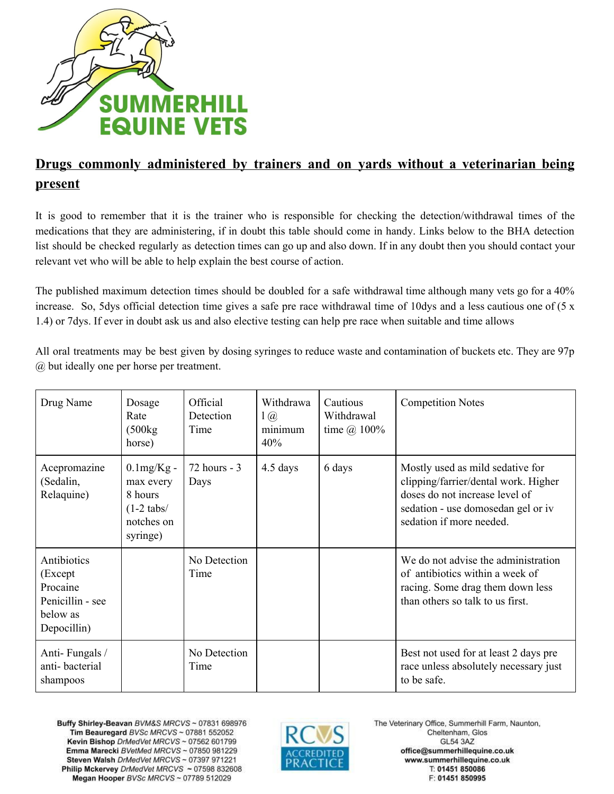

## **Drugs commonly administered by trainers and on yards without a veterinarian being present**

It is good to remember that it is the trainer who is responsible for checking the detection/withdrawal times of the medications that they are administering, if in doubt this table should come in handy. Links below to the BHA detection list should be checked regularly as detection times can go up and also down. If in any doubt then you should contact your relevant vet who will be able to help explain the best course of action.

The published maximum detection times should be doubled for a safe withdrawal time although many vets go for a 40% increase. So, 5dys official detection time gives a safe pre race withdrawal time of 10dys and a less cautious one of (5 x 1.4) or 7dys. If ever in doubt ask us and also elective testing can help pre race when suitable and time allows

All oral treatments may be best given by dosing syringes to reduce waste and contamination of buckets etc. They are 97p @ but ideally one per horse per treatment.

| Drug Name                                                                          | Dosage<br>Rate<br>(500kg)<br>horse)                                             | Official<br><b>Detection</b><br>Time | Withdrawa<br>$1$ $\omega$<br>minimum<br>40% | Cautious<br>Withdrawal<br>time $\omega$ 100% | <b>Competition Notes</b>                                                                                                                                                     |
|------------------------------------------------------------------------------------|---------------------------------------------------------------------------------|--------------------------------------|---------------------------------------------|----------------------------------------------|------------------------------------------------------------------------------------------------------------------------------------------------------------------------------|
| Acepromazine<br>(Sedalin,<br>Relaquine)                                            | $0.1$ mg/Kg -<br>max every<br>8 hours<br>$(1-2$ tabs/<br>notches on<br>syringe) | $72$ hours - 3<br>Days               | 4.5 days                                    | 6 days                                       | Mostly used as mild sedative for<br>clipping/farrier/dental work. Higher<br>doses do not increase level of<br>sedation - use domosedan gel or iv<br>sedation if more needed. |
| Antibiotics<br>(Except)<br>Procaine<br>Penicillin - see<br>below as<br>Depocillin) |                                                                                 | No Detection<br>Time                 |                                             |                                              | We do not advise the administration<br>of antibiotics within a week of<br>racing. Some drag them down less<br>than others so talk to us first.                               |
| Anti-Fungals /<br>anti-bacterial<br>shampoos                                       |                                                                                 | No Detection<br>Time                 |                                             |                                              | Best not used for at least 2 days pre<br>race unless absolutely necessary just<br>to be safe.                                                                                |

Buffy Shirley-Beavan BVM&S MRCVS ~ 07831 698976 Tim Beauregard BVSc MRCVS ~ 07881 552052 Kevin Bishop DrMedVet MRCVS ~ 07562 601799 Emma Marecki BVetMed MRCVS ~ 07850 981229 Steven Walsh DrMedVet MRCVS ~ 07397 971221 Philip Mckervey DrMedVet MRCVS ~ 07598 832608 Megan Hooper BVSc MRCVS ~ 07789 512029

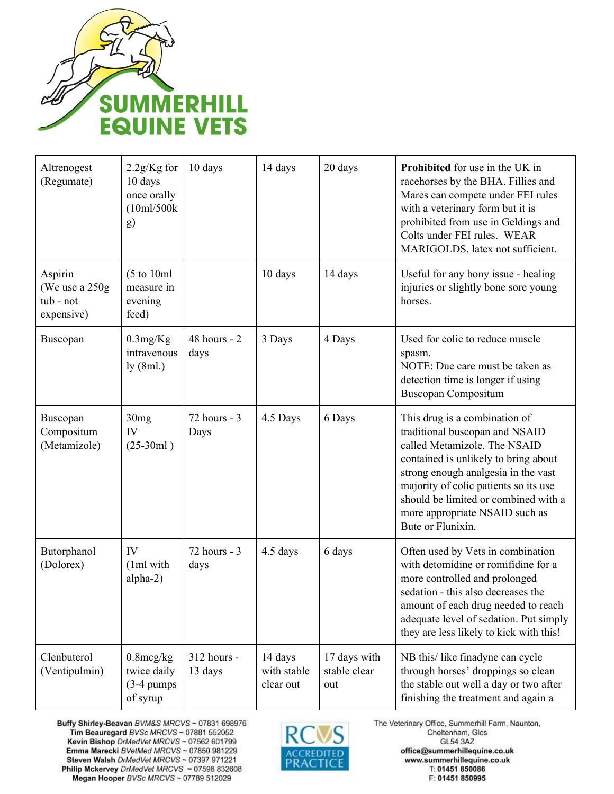

| Altrenogest<br>(Regumate)                             | $2.2g/Kg$ for<br>10 days<br>once orally<br>(10ml/500k<br>g)      | 10 days                  | 14 days                             | 20 days                             | <b>Prohibited</b> for use in the UK in<br>racehorses by the BHA. Fillies and<br>Mares can compete under FEI rules<br>with a veterinary form but it is<br>prohibited from use in Geldings and<br>Colts under FEI rules. WEAR<br>MARIGOLDS, latex not sufficient.                                                        |
|-------------------------------------------------------|------------------------------------------------------------------|--------------------------|-------------------------------------|-------------------------------------|------------------------------------------------------------------------------------------------------------------------------------------------------------------------------------------------------------------------------------------------------------------------------------------------------------------------|
| Aspirin<br>(We use a 250g)<br>tub - not<br>expensive) | $(5 \text{ to } 10 \text{ml})$<br>measure in<br>evening<br>feed) |                          | 10 days                             | 14 days                             | Useful for any bony issue - healing<br>injuries or slightly bone sore young<br>horses.                                                                                                                                                                                                                                 |
| Buscopan                                              | 0.3mg/Kg<br>intravenous<br>ly (8ml.)                             | $48$ hours - $2$<br>days | 3 Days                              | 4 Days                              | Used for colic to reduce muscle<br>spasm.<br>NOTE: Due care must be taken as<br>detection time is longer if using<br><b>Buscopan Compositum</b>                                                                                                                                                                        |
| Buscopan<br>Compositum<br>(Metamizole)                | 30 <sub>mg</sub><br>IV<br>$(25-30ml)$                            | 72 hours - 3<br>Days     | 4.5 Days                            | 6 Days                              | This drug is a combination of<br>traditional buscopan and NSAID<br>called Metamizole. The NSAID<br>contained is unlikely to bring about<br>strong enough analgesia in the vast<br>majority of colic patients so its use<br>should be limited or combined with a<br>more appropriate NSAID such as<br>Bute or Flunixin. |
| Butorphanol<br>(Dolorex)                              | IV<br>(1ml with<br>alpha-2)                                      | $72$ hours - 3<br>days   | 4.5 days                            | 6 days                              | Often used by Vets in combination<br>with detomidine or romifidine for a<br>more controlled and prolonged<br>sedation - this also decreases the<br>amount of each drug needed to reach<br>adequate level of sedation. Put simply<br>they are less likely to kick with this!                                            |
| Clenbuterol<br>(Ventipulmin)                          | $0.8$ mcg/kg<br>twice daily<br>$(3-4)$ pumps<br>of syrup         | 312 hours -<br>13 days   | 14 days<br>with stable<br>clear out | 17 days with<br>stable clear<br>out | NB this/like finadyne can cycle<br>through horses' droppings so clean<br>the stable out well a day or two after<br>finishing the treatment and again a                                                                                                                                                                 |

Buffy Shirley-Beavan BVM&S MRCVS ~ 07831 698976<br>Tim Beauregard BVSc MRCVS ~ 07881 552052 Kevin Bishop DrMedVet MRCVS ~ 07562 601799 Emma Marecki BVetMed MRCVS ~ 07850 981229 Steven Walsh DrMedVet MRCVS ~ 07397 971221 Philip Mckervey DrMedVet MRCVS ~ 07598 832608 Megan Hooper BVSc MRCVS ~ 07789 512029

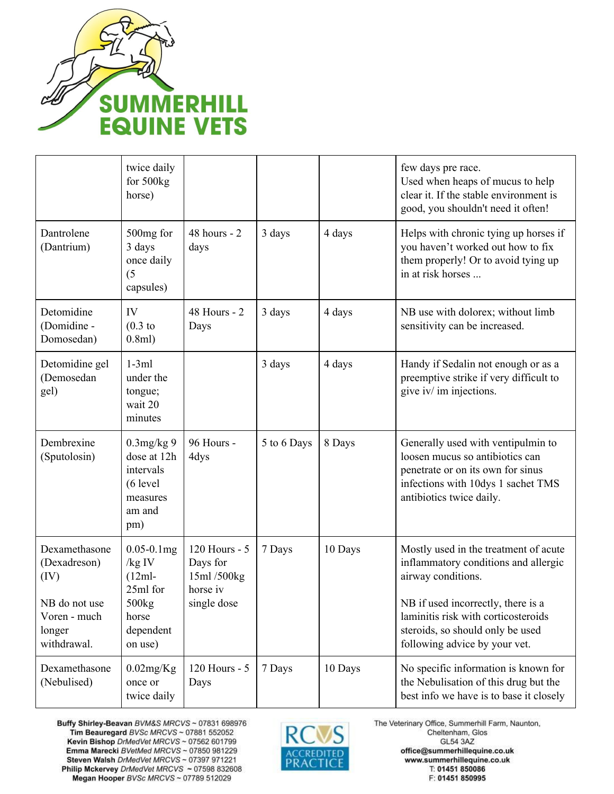

|                                                                                                 | twice daily<br>for 500kg<br>horse)                                                                      |                                                                    |             |         | few days pre race.<br>Used when heaps of mucus to help<br>clear it. If the stable environment is<br>good, you shouldn't need it often!                                                                                                                |
|-------------------------------------------------------------------------------------------------|---------------------------------------------------------------------------------------------------------|--------------------------------------------------------------------|-------------|---------|-------------------------------------------------------------------------------------------------------------------------------------------------------------------------------------------------------------------------------------------------------|
| Dantrolene<br>(Dantrium)                                                                        | 500mg for<br>3 days<br>once daily<br>(5)<br>capsules)                                                   | $48$ hours - $2$<br>days                                           | 3 days      | 4 days  | Helps with chronic tying up horses if<br>you haven't worked out how to fix<br>them properly! Or to avoid tying up<br>in at risk horses                                                                                                                |
| Detomidine<br>(Domidine -<br>Domosedan)                                                         | IV<br>$(0.3)$ to<br>0.8ml)                                                                              | 48 Hours - 2<br>Days                                               | 3 days      | 4 days  | NB use with dolorex; without limb<br>sensitivity can be increased.                                                                                                                                                                                    |
| Detomidine gel<br>(Demosedan<br>gel)                                                            | $1-3ml$<br>under the<br>tongue;<br>wait 20<br>minutes                                                   |                                                                    | 3 days      | 4 days  | Handy if Sedalin not enough or as a<br>preemptive strike if very difficult to<br>give iv/ im injections.                                                                                                                                              |
| Dembrexine<br>(Sputolosin)                                                                      | $0.3$ mg/kg 9<br>dose at 12h<br>intervals<br>$(6$ level<br>measures<br>am and<br>pm)                    | 96 Hours -<br>4dys                                                 | 5 to 6 Days | 8 Days  | Generally used with ventipulmin to<br>loosen mucus so antibiotics can<br>penetrate or on its own for sinus<br>infections with 10dys 1 sachet TMS<br>antibiotics twice daily.                                                                          |
| Dexamethasone<br>(Dexadreson)<br>(IV)<br>NB do not use<br>Voren - much<br>longer<br>withdrawal. | $0.05 - 0.1$ mg<br>/kg IV<br>$(12ml-$<br>25ml for<br>500 <sub>kg</sub><br>horse<br>dependent<br>on use) | 120 Hours - 5<br>Days for<br>15ml/500kg<br>horse iv<br>single dose | 7 Days      | 10 Days | Mostly used in the treatment of acute<br>inflammatory conditions and allergic<br>airway conditions.<br>NB if used incorrectly, there is a<br>laminitis risk with corticosteroids<br>steroids, so should only be used<br>following advice by your vet. |
| Dexamethasone<br>(Nebulised)                                                                    | $0.02$ mg/Kg<br>once or<br>twice daily                                                                  | 120 Hours - 5<br>Days                                              | 7 Days      | 10 Days | No specific information is known for<br>the Nebulisation of this drug but the<br>best info we have is to base it closely                                                                                                                              |

Buffy Shirley-Beavan BVM&S MRCVS ~ 07831 698976<br>Tim Beauregard BVSc MRCVS ~ 07881 552052 Kevin Bishop DrMedVet MRCVS ~ 07562 601799 Emma Marecki BVetMed MRCVS ~ 07850 981229 Steven Walsh DrMedVet MRCVS ~ 07397 971221 Philip Mckervey DrMedVet MRCVS ~ 07598 832608 Megan Hooper BVSc MRCVS ~ 07789 512029

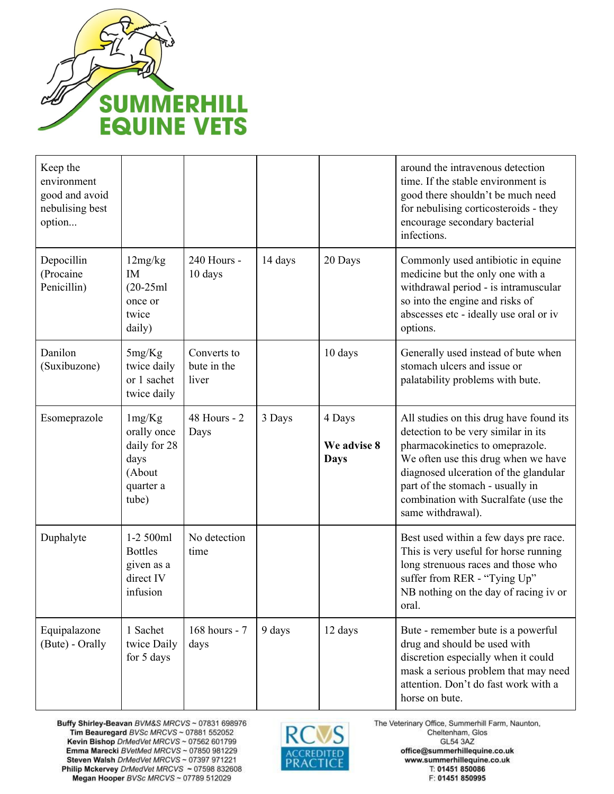

| Keep the<br>environment<br>good and avoid<br>nebulising best<br>option |                                                                               |                                     |         |                                      | around the intravenous detection<br>time. If the stable environment is<br>good there shouldn't be much need<br>for nebulising corticosteroids - they<br>encourage secondary bacterial<br>infections.                                                                                               |
|------------------------------------------------------------------------|-------------------------------------------------------------------------------|-------------------------------------|---------|--------------------------------------|----------------------------------------------------------------------------------------------------------------------------------------------------------------------------------------------------------------------------------------------------------------------------------------------------|
| Depocillin<br>(Procaine<br>Penicillin)                                 | 12mg/kg<br>IM<br>$(20-25ml)$<br>once or<br>twice<br>daily)                    | 240 Hours -<br>10 days              | 14 days | 20 Days                              | Commonly used antibiotic in equine<br>medicine but the only one with a<br>withdrawal period - is intramuscular<br>so into the engine and risks of<br>abscesses etc - ideally use oral or iv<br>options.                                                                                            |
| Danilon<br>(Suxibuzone)                                                | 5mg/Kg<br>twice daily<br>or 1 sachet<br>twice daily                           | Converts to<br>bute in the<br>liver |         | 10 days                              | Generally used instead of bute when<br>stomach ulcers and issue or<br>palatability problems with bute.                                                                                                                                                                                             |
| Esomeprazole                                                           | 1mg/Kg<br>orally once<br>daily for 28<br>days<br>(About<br>quarter a<br>tube) | 48 Hours - 2<br>Days                | 3 Days  | 4 Days<br>We advise 8<br><b>Days</b> | All studies on this drug have found its<br>detection to be very similar in its<br>pharmacokinetics to omeprazole.<br>We often use this drug when we have<br>diagnosed ulceration of the glandular<br>part of the stomach - usually in<br>combination with Sucralfate (use the<br>same withdrawal). |
| Duphalyte                                                              | 1-2 500ml<br><b>Bottles</b><br>given as a<br>direct IV<br>infusion            | No detection<br>time                |         |                                      | Best used within a few days pre race.<br>This is very useful for horse running<br>long strenuous races and those who<br>suffer from RER - "Tying Up"<br>NB nothing on the day of racing iv or<br>oral.                                                                                             |
| Equipalazone<br>(Bute) - Orally                                        | 1 Sachet<br>twice Daily<br>for 5 days                                         | 168 hours - 7<br>days               | 9 days  | 12 days                              | Bute - remember bute is a powerful<br>drug and should be used with<br>discretion especially when it could<br>mask a serious problem that may need<br>attention. Don't do fast work with a<br>horse on bute.                                                                                        |

Buffy Shirley-Beavan BVM&S MRCVS ~ 07831 698976<br>Tim Beauregard BVSc MRCVS ~ 07881 552052 Kevin Bishop DrMedVet MRCVS ~ 07562 601799 Emma Marecki BVetMed MRCVS ~ 07850 981229 Steven Walsh DrMedVet MRCVS ~ 07397 971221 Philip Mckervey DrMedVet MRCVS ~ 07598 832608 Megan Hooper BVSc MRCVS ~ 07789 512029

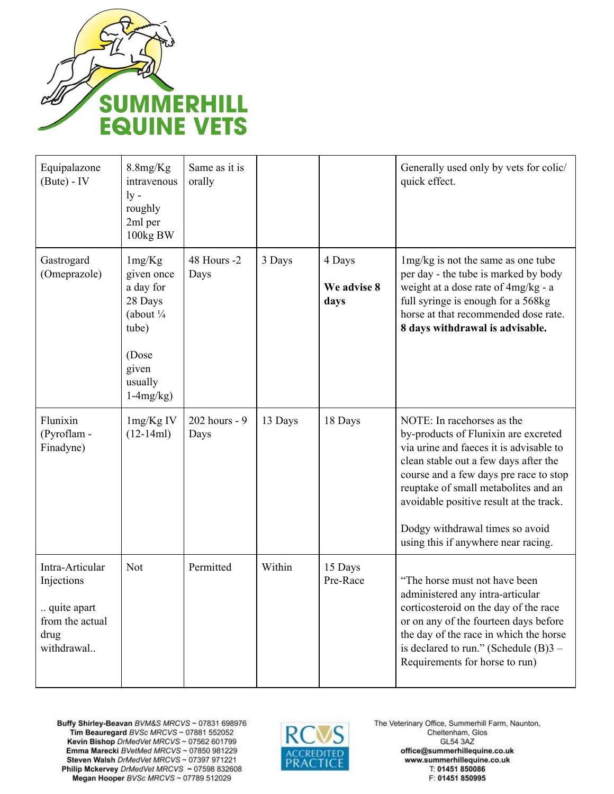

| Equipalazone<br>$(Bute) - IV$                                                         | 8.8mg/Kg<br>intravenous<br>$\rm{lv}$ -<br>roughly<br>2ml per<br>100kg BW                                                   | Same as it is<br>orally |         |                               | Generally used only by vets for colic/<br>quick effect.                                                                                                                                                                                                                                                                                                       |
|---------------------------------------------------------------------------------------|----------------------------------------------------------------------------------------------------------------------------|-------------------------|---------|-------------------------------|---------------------------------------------------------------------------------------------------------------------------------------------------------------------------------------------------------------------------------------------------------------------------------------------------------------------------------------------------------------|
| Gastrogard<br>(Omeprazole)                                                            | 1mg/Kg<br>given once<br>a day for<br>28 Days<br>(about $\frac{1}{4}$<br>tube)<br>(Dose<br>given<br>usually<br>$1-4mg/kg$ ) | 48 Hours -2<br>Days     | 3 Days  | 4 Days<br>We advise 8<br>days | lmg/kg is not the same as one tube<br>per day - the tube is marked by body<br>weight at a dose rate of 4mg/kg - a<br>full syringe is enough for a 568kg<br>horse at that recommended dose rate.<br>8 days withdrawal is advisable.                                                                                                                            |
| Flunixin<br>(Pyroflam -<br>Finadyne)                                                  | 1mg/Kg IV<br>$(12-14ml)$                                                                                                   | 202 hours - 9<br>Days   | 13 Days | 18 Days                       | NOTE: In racehorses as the<br>by-products of Flunixin are excreted<br>via urine and faeces it is advisable to<br>clean stable out a few days after the<br>course and a few days pre race to stop<br>reuptake of small metabolites and an<br>avoidable positive result at the track.<br>Dodgy withdrawal times so avoid<br>using this if anywhere near racing. |
| Intra-Articular<br>Injections<br>quite apart<br>from the actual<br>drug<br>withdrawal | Not                                                                                                                        | Permitted               | Within  | 15 Days<br>Pre-Race           | "The horse must not have been<br>administered any intra-articular<br>corticosteroid on the day of the race<br>or on any of the fourteen days before<br>the day of the race in which the horse<br>is declared to run." (Schedule $(B)$ 3 –<br>Requirements for horse to run)                                                                                   |

Buffy Shirley-Beavan BVM&S MRCVS ~ 07831 698976<br>Tim Beauregard BVSc MRCVS ~ 07881 552052 Kevin Bishop DrMedVet MRCVS ~ 07562 601799<br>Emma Marecki BVetMed MRCVS ~ 07850 981229 Steven Walsh DrMedVet MRCVS ~ 07397 971221 Philip Mckervey DrMedVet MRCVS ~ 07598 832608 Megan Hooper BVSc MRCVS ~ 07789 512029

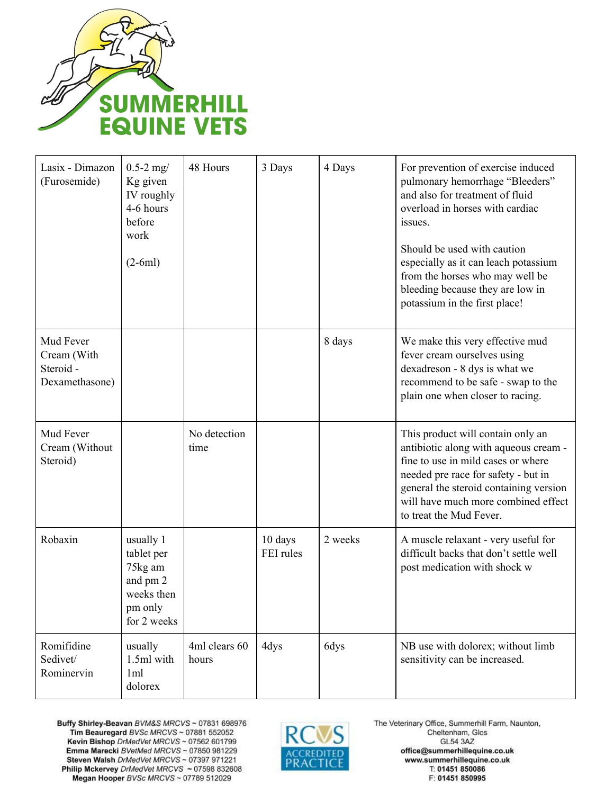

| Lasix - Dimazon<br>(Furosemide)                         | $0.5 - 2$ mg/<br>Kg given<br>IV roughly<br>4-6 hours<br>before<br>work<br>$(2-6ml)$    | 48 Hours               | 3 Days               | 4 Days  | For prevention of exercise induced<br>pulmonary hemorrhage "Bleeders"<br>and also for treatment of fluid<br>overload in horses with cardiac<br>issues.<br>Should be used with caution<br>especially as it can leach potassium<br>from the horses who may well be<br>bleeding because they are low in<br>potassium in the first place! |
|---------------------------------------------------------|----------------------------------------------------------------------------------------|------------------------|----------------------|---------|---------------------------------------------------------------------------------------------------------------------------------------------------------------------------------------------------------------------------------------------------------------------------------------------------------------------------------------|
| Mud Fever<br>Cream (With<br>Steroid -<br>Dexamethasone) |                                                                                        |                        |                      | 8 days  | We make this very effective mud<br>fever cream ourselves using<br>dexadreson - 8 dys is what we<br>recommend to be safe - swap to the<br>plain one when closer to racing.                                                                                                                                                             |
| Mud Fever<br>Cream (Without<br>Steroid)                 |                                                                                        | No detection<br>time   |                      |         | This product will contain only an<br>antibiotic along with aqueous cream -<br>fine to use in mild cases or where<br>needed pre race for safety - but in<br>general the steroid containing version<br>will have much more combined effect<br>to treat the Mud Fever.                                                                   |
| Robaxin                                                 | usually 1<br>tablet per<br>75kg am<br>and pm 2<br>weeks then<br>pm only<br>for 2 weeks |                        | 10 days<br>FEI rules | 2 weeks | A muscle relaxant - very useful for<br>difficult backs that don't settle well<br>post medication with shock w                                                                                                                                                                                                                         |
| Romifidine<br>Sedivet/<br>Rominervin                    | usually<br>1.5ml with<br>1ml<br>dolorex                                                | 4ml clears 60<br>hours | 4dys                 | 6dys    | NB use with dolorex; without limb<br>sensitivity can be increased.                                                                                                                                                                                                                                                                    |

Buffy Shirley-Beavan BVM&S MRCVS ~ 07831 698976<br>Tim Beauregard BVSc MRCVS ~ 07881 552052 Kevin Bishop DrMedVet MRCVS ~ 07562 601799<br>Emma Marecki BVetMed MRCVS ~ 07850 981229 Steven Walsh DrMedVet MRCVS ~ 07397 971221 Philip Mckervey DrMedVet MRCVS ~ 07598 832608 Megan Hooper BVSc MRCVS ~ 07789 512029